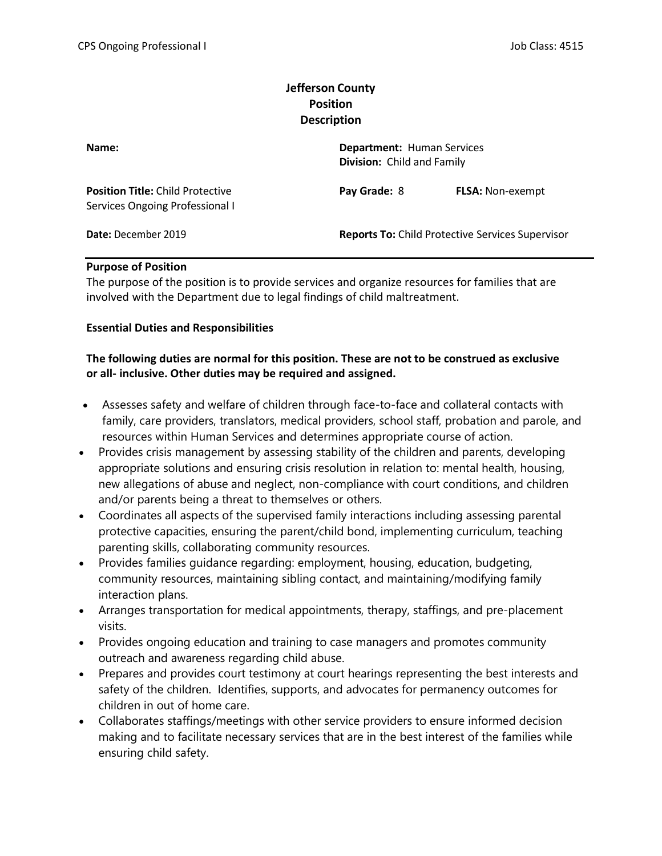# Jefferson County Position **Description**

| Name:                                                                      | <b>Department: Human Services</b><br>Division: Child and Family |                         |
|----------------------------------------------------------------------------|-----------------------------------------------------------------|-------------------------|
| <b>Position Title: Child Protective</b><br>Services Ongoing Professional I | Pay Grade: 8                                                    | <b>FLSA: Non-exempt</b> |
| Date: December 2019                                                        | <b>Reports To: Child Protective Services Supervisor</b>         |                         |

### Purpose of Position

The purpose of the position is to provide services and organize resources for families that are involved with the Department due to legal findings of child maltreatment.

#### Essential Duties and Responsibilities

# The following duties are normal for this position. These are not to be construed as exclusive or all- inclusive. Other duties may be required and assigned.

- Assesses safety and welfare of children through face-to-face and collateral contacts with family, care providers, translators, medical providers, school staff, probation and parole, and resources within Human Services and determines appropriate course of action.
- Provides crisis management by assessing stability of the children and parents, developing appropriate solutions and ensuring crisis resolution in relation to: mental health, housing, new allegations of abuse and neglect, non-compliance with court conditions, and children and/or parents being a threat to themselves or others.
- Coordinates all aspects of the supervised family interactions including assessing parental protective capacities, ensuring the parent/child bond, implementing curriculum, teaching parenting skills, collaborating community resources.
- Provides families guidance regarding: employment, housing, education, budgeting, community resources, maintaining sibling contact, and maintaining/modifying family interaction plans.
- Arranges transportation for medical appointments, therapy, staffings, and pre-placement visits.
- Provides ongoing education and training to case managers and promotes community outreach and awareness regarding child abuse.
- Prepares and provides court testimony at court hearings representing the best interests and safety of the children. Identifies, supports, and advocates for permanency outcomes for children in out of home care.
- Collaborates staffings/meetings with other service providers to ensure informed decision making and to facilitate necessary services that are in the best interest of the families while ensuring child safety.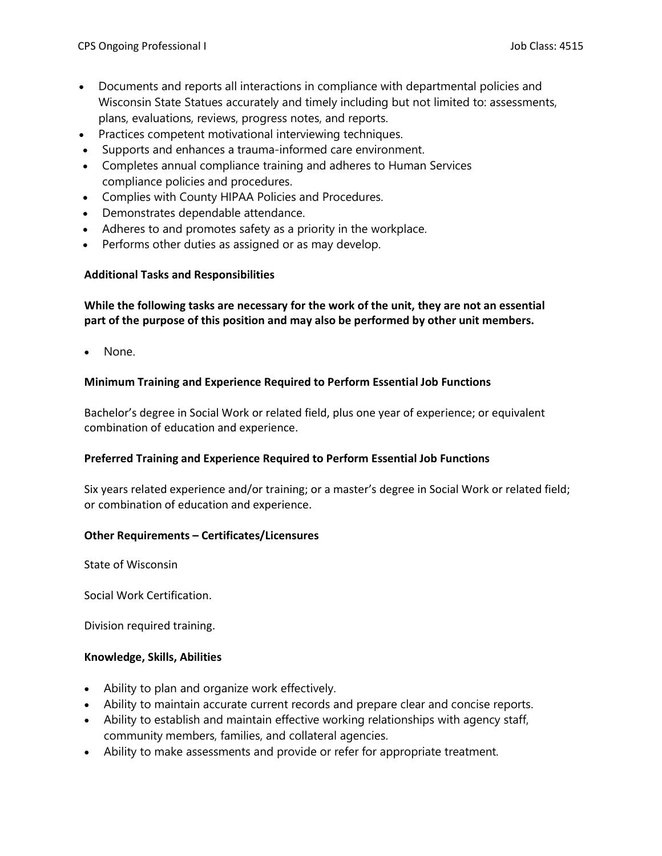- Documents and reports all interactions in compliance with departmental policies and Wisconsin State Statues accurately and timely including but not limited to: assessments, plans, evaluations, reviews, progress notes, and reports.
- Practices competent motivational interviewing techniques.
- Supports and enhances a trauma-informed care environment.
- Completes annual compliance training and adheres to Human Services compliance policies and procedures.
- Complies with County HIPAA Policies and Procedures.
- Demonstrates dependable attendance.
- Adheres to and promotes safety as a priority in the workplace.
- Performs other duties as assigned or as may develop.

### Additional Tasks and Responsibilities

While the following tasks are necessary for the work of the unit, they are not an essential part of the purpose of this position and may also be performed by other unit members.

• None.

### Minimum Training and Experience Required to Perform Essential Job Functions

Bachelor's degree in Social Work or related field, plus one year of experience; or equivalent combination of education and experience.

### Preferred Training and Experience Required to Perform Essential Job Functions

Six years related experience and/or training; or a master's degree in Social Work or related field; or combination of education and experience.

### Other Requirements – Certificates/Licensures

State of Wisconsin

Social Work Certification.

Division required training.

### Knowledge, Skills, Abilities

- Ability to plan and organize work effectively.
- Ability to maintain accurate current records and prepare clear and concise reports.
- Ability to establish and maintain effective working relationships with agency staff, community members, families, and collateral agencies.
- Ability to make assessments and provide or refer for appropriate treatment.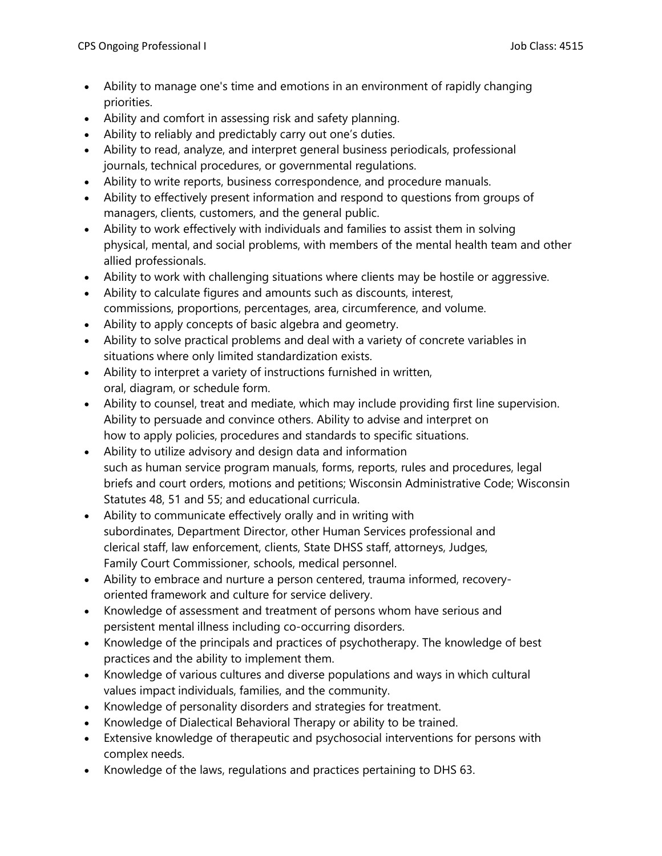- Ability to manage one's time and emotions in an environment of rapidly changing priorities.
- Ability and comfort in assessing risk and safety planning.
- Ability to reliably and predictably carry out one's duties.
- Ability to read, analyze, and interpret general business periodicals, professional journals, technical procedures, or governmental regulations.
- Ability to write reports, business correspondence, and procedure manuals.
- Ability to effectively present information and respond to questions from groups of managers, clients, customers, and the general public.
- Ability to work effectively with individuals and families to assist them in solving physical, mental, and social problems, with members of the mental health team and other allied professionals.
- Ability to work with challenging situations where clients may be hostile or aggressive.
- Ability to calculate figures and amounts such as discounts, interest, commissions, proportions, percentages, area, circumference, and volume.
- Ability to apply concepts of basic algebra and geometry.
- Ability to solve practical problems and deal with a variety of concrete variables in situations where only limited standardization exists.
- Ability to interpret a variety of instructions furnished in written, oral, diagram, or schedule form.
- Ability to counsel, treat and mediate, which may include providing first line supervision. Ability to persuade and convince others. Ability to advise and interpret on how to apply policies, procedures and standards to specific situations.
- Ability to utilize advisory and design data and information such as human service program manuals, forms, reports, rules and procedures, legal briefs and court orders, motions and petitions; Wisconsin Administrative Code; Wisconsin Statutes 48, 51 and 55; and educational curricula.
- Ability to communicate effectively orally and in writing with subordinates, Department Director, other Human Services professional and clerical staff, law enforcement, clients, State DHSS staff, attorneys, Judges, Family Court Commissioner, schools, medical personnel.
- Ability to embrace and nurture a person centered, trauma informed, recoveryoriented framework and culture for service delivery.
- Knowledge of assessment and treatment of persons whom have serious and persistent mental illness including co-occurring disorders.
- Knowledge of the principals and practices of psychotherapy. The knowledge of best practices and the ability to implement them.
- Knowledge of various cultures and diverse populations and ways in which cultural values impact individuals, families, and the community.
- Knowledge of personality disorders and strategies for treatment.
- Knowledge of Dialectical Behavioral Therapy or ability to be trained.
- Extensive knowledge of therapeutic and psychosocial interventions for persons with complex needs.
- Knowledge of the laws, regulations and practices pertaining to DHS 63.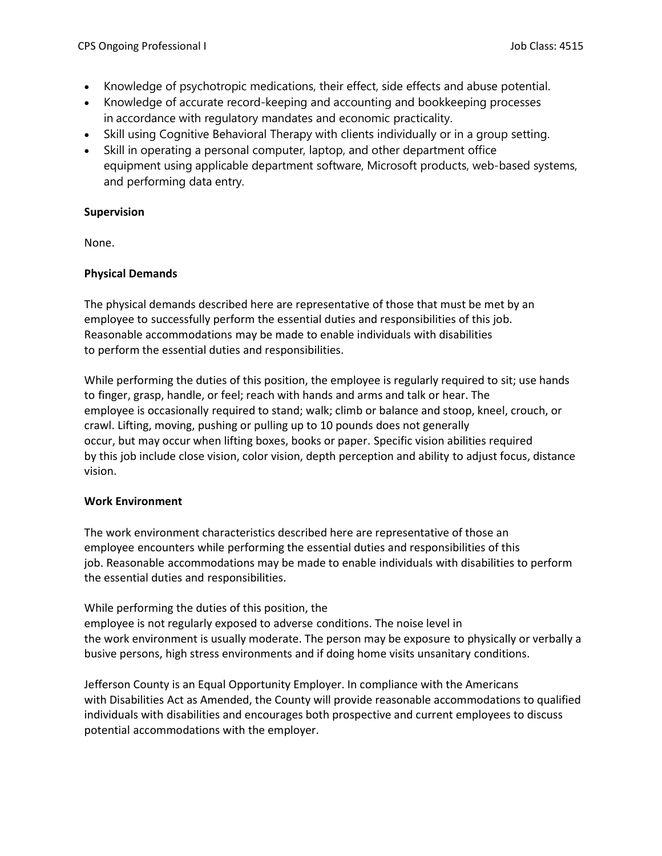- Knowledge of psychotropic medications, their effect, side effects and abuse potential.
- Knowledge of accurate record-keeping and accounting and bookkeeping processes in accordance with regulatory mandates and economic practicality.
- Skill using Cognitive Behavioral Therapy with clients individually or in a group setting.
- Skill in operating a personal computer, laptop, and other department office equipment using applicable department software, Microsoft products, web-based systems, and performing data entry.

## Supervision

None.

## Physical Demands

The physical demands described here are representative of those that must be met by an employee to successfully perform the essential duties and responsibilities of this job. Reasonable accommodations may be made to enable individuals with disabilities to perform the essential duties and responsibilities.

While performing the duties of this position, the employee is regularly required to sit; use hands to finger, grasp, handle, or feel; reach with hands and arms and talk or hear. The employee is occasionally required to stand; walk; climb or balance and stoop, kneel, crouch, or crawl. Lifting, moving, pushing or pulling up to 10 pounds does not generally occur, but may occur when lifting boxes, books or paper. Specific vision abilities required by this job include close vision, color vision, depth perception and ability to adjust focus, distance vision.

## Work Environment

The work environment characteristics described here are representative of those an employee encounters while performing the essential duties and responsibilities of this job. Reasonable accommodations may be made to enable individuals with disabilities to perform the essential duties and responsibilities.

While performing the duties of this position, the employee is not regularly exposed to adverse conditions. The noise level in the work environment is usually moderate. The person may be exposure to physically or verbally a busive persons, high stress environments and if doing home visits unsanitary conditions.

Jefferson County is an Equal Opportunity Employer. In compliance with the Americans with Disabilities Act as Amended, the County will provide reasonable accommodations to qualified individuals with disabilities and encourages both prospective and current employees to discuss potential accommodations with the employer.